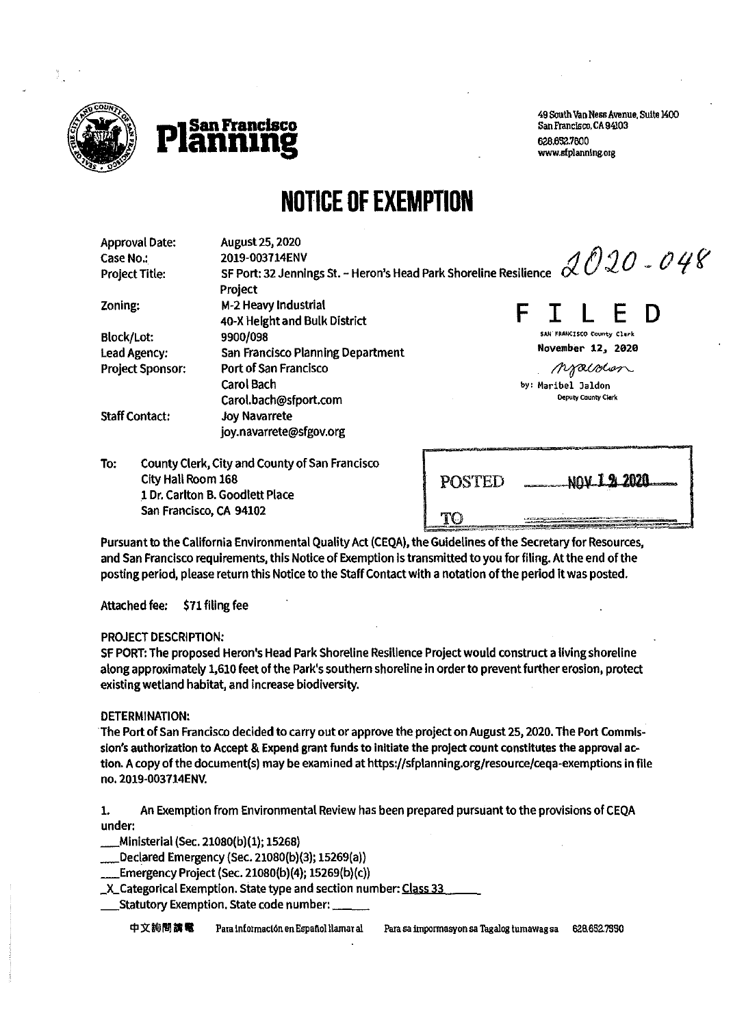



49 South Van Ness Avenue, Suite 1400<br>San Francisco, CA 94103 www.sfplanning.org

# **NOTICE OF EXEMPTION**

| <b>Approval Date:</b><br>Case No.:<br><b>Project Title:</b> | August 25, 2020<br>SF Port: 32 Jennings St. - Heron's Head Park Shoreline Resilience $2020$ - 048 |                                           |                            |  |  |
|-------------------------------------------------------------|---------------------------------------------------------------------------------------------------|-------------------------------------------|----------------------------|--|--|
| Zoning:                                                     | M-2 Heavy Industrial<br>40-X Height and Bulk District                                             |                                           | F D                        |  |  |
| <b>Block/Lot:</b>                                           | 9900/098                                                                                          |                                           | SAN FRANCISCO County Clurk |  |  |
| Lead Agency:                                                | <b>San Francisco Planning Department</b>                                                          |                                           | November 12, 2020          |  |  |
| <b>Project Sponsor:</b>                                     | Port of San Francisco                                                                             |                                           | Moralolon                  |  |  |
|                                                             | <b>Carol Bach</b><br>Carol.bach@sfport.com                                                        | by: Maribel Jaldon<br>Deputy County Clerk |                            |  |  |
| <b>Staff Contact:</b>                                       | <b>Joy Navarrete</b><br>joy.navarrete@sfgov.org                                                   |                                           |                            |  |  |
| To:<br>City Hall Room 168                                   | County Clerk, City and County of San Francisco                                                    | DOCTED                                    | <u>นคน 1 % 2020</u>        |  |  |

City Hall Room 168 POSTED N0\I**Ji 2020**  1 Dr. Carlton **B.**Goodlett Place San Francisco, CA 94102 **TO** 

Pursuant to the California Environmental Quality Act (CEQA), the Guidelines of the Secretary for Resources, and San Francisco requirements, this Notice of Exemption ls transmitted to you for filing. At the end of the posting period, please return this Notice to the Staff Contact with a notation of the period it was posted.

Attached fee: \$71 filing fee

#### PROJECT DESCRIPTION:

SF PORT: The proposed Heron's Head Park Shoreline Resilience Project would construct a living shoreline along approximately 1,610 feet of the Park's southern shoreline in order to prevent further erosion, protect existing wetland habitat, and increase biodiversity.

#### DETERMINATION:

The Port of San Francisco decided to carry out or approve the project on August 25, 2020. The Port Commission's authorization to Accept & Expend grant funds to Initiate the project count constitutes the approval action. A copy of the document(s) may be examined at [https://sfplanning.org/resource/ceqa-exemptions in](https://sfplanning.org/resource/ceqa-exemptions) file no. 2019-003714ENV.

1. An Exemption from Environmental Review has been prepared pursuant to the provisions of CEQA under:

\_Ministerial (Sec. 21080(b)(l); 15268)

\_Declared Emergency (Sec. 21080(b)(3); 15269(a))

\_Emergency Project (Sec. 21080(b)(4); 15269(b)(c))

\_X\_Categorical Exemption. State type and section number: Class 33

\_Statutory Exemption. State code number: \_\_

中文詢問講電 Para información en Español llamar al Para sa impormasyon sa Tagalog tumawag sa 628.652.7550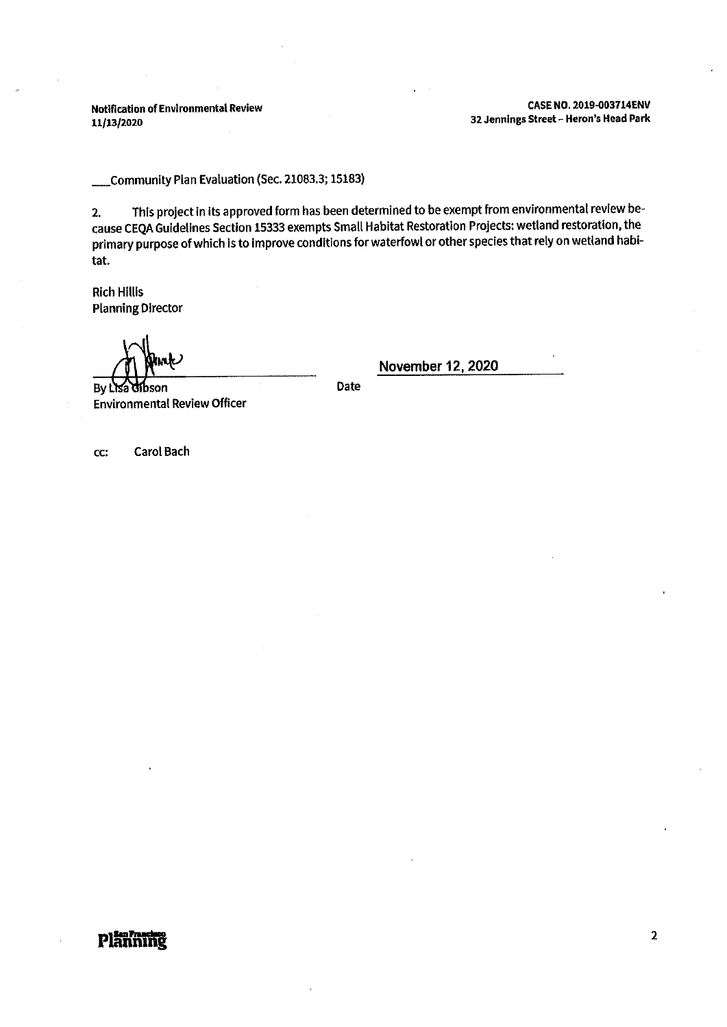Notification of Environmental Review CASE NO. 2019-003714ENV<br>32 Jennings Street – Heron's Head Park 32 Jennings Street - Heron's Head Park

\_Community Plan Evaluation (Sec. 21083.3; 15183)

2. This project in its approved form has been determined to be exempt from environmental review because CEQA Guidelines Section 15333 exempts Small Habitat Restoration Projects: wetland restoration, the primary purpose of which Is to Improve conditions for waterfowl or other species that rely on wetland habitat.

Rich Hillis Planning Director

By Lisa dibson

Environmental Review Officer

Date

**November12,2020** 

cc: Carol Bach

## **pl<del>än</del> mindeled and development of the control of the control of the control of the control of the control of the control of the control of the control of the control of the control of the control of the control of the co**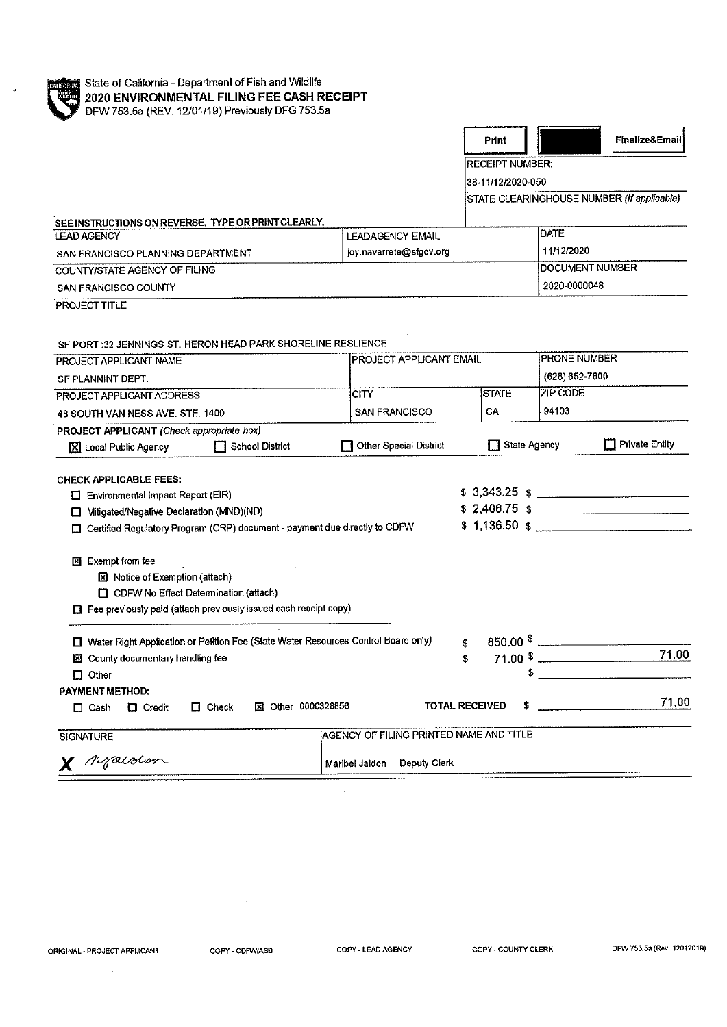

 $\mathcal{A}^{\mathcal{A}}$ 

| Finalize&Email<br>STATE CLEARINGHOUSE NUMBER (If applicable) |  |
|--------------------------------------------------------------|--|
|                                                              |  |
|                                                              |  |
|                                                              |  |
|                                                              |  |
|                                                              |  |
|                                                              |  |
|                                                              |  |
|                                                              |  |
|                                                              |  |
|                                                              |  |
|                                                              |  |
|                                                              |  |
|                                                              |  |
| (628) 652-7600                                               |  |
|                                                              |  |
|                                                              |  |
|                                                              |  |
| $\Box$ Private Entity                                        |  |
|                                                              |  |
|                                                              |  |
| $$3,343.25$ \$                                               |  |
| $$2,406.75$ \$                                               |  |
|                                                              |  |
|                                                              |  |
|                                                              |  |
|                                                              |  |
|                                                              |  |
|                                                              |  |
|                                                              |  |
| 71.00<br>$71.00$ $\frac{1}{1}$                               |  |
|                                                              |  |
|                                                              |  |
|                                                              |  |
|                                                              |  |
| 71.00                                                        |  |
|                                                              |  |
|                                                              |  |

 $\sim$   $\sim$ 

 $\bar{\lambda}$ 

 $\sim 10^{11}$ 

 $\mathcal{A}^{\mathcal{A}}$